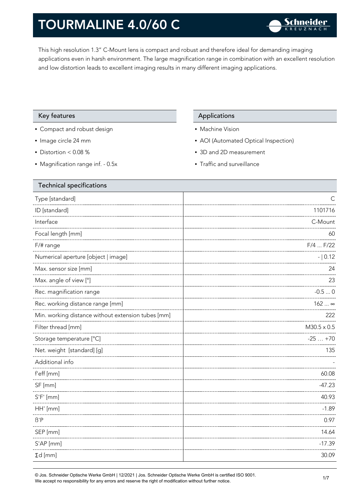This high resolution 1.3" C-Mount lens is compact and robust and therefore ideal for demanding imaging applications even in harsh environment. The large magnification range in combination with an excellent resolution and low distortion leads to excellent imaging results in many different imaging applications.

### Key features **Applications** Applications

- Compact and robust design
- Image circle 24 mm
- Distortion < 0.08 %
- Magnification range inf. 0.5x

- Machine Vision
- AOI (Automated Optical Inspection)
- 3D and 2D measurement
- Traffic and surveillance

| <b>Technical specifications</b>                    |                    |
|----------------------------------------------------|--------------------|
| Type [standard]                                    | С                  |
| ID [standard]                                      | 1101716            |
| Interface                                          | C-Mount            |
| Focal length [mm]                                  | 60                 |
| $F/\#$ range                                       | $F/4$ $F/22$       |
| Numerical aperture [object   image]                | $- 0.12$           |
| Max. sensor size [mm]                              | 24                 |
| Max. angle of view [°]                             | 23                 |
| Rec. magnification range                           | $-0.50$            |
| Rec. working distance range [mm]                   | $162$ $\infty$     |
| Min. working distance without extension tubes [mm] | 222                |
| Filter thread [mm]                                 | $M30.5 \times 0.5$ |
| Storage temperature [°C]                           | $-25+70$           |
| Net. weight [standard] [g]                         | 135                |
| Additional info                                    |                    |
| f'eff [mm]                                         | 60.08              |
| SF [mm]                                            | $-47.23$           |
| $S'F'$ [mm]                                        | 40.93              |
| HH' [mm]                                           | $-1.89$            |
| $\beta$ 'P                                         | 0.97               |
| SEP [mm]                                           | 14.64              |
| $S'AP$ [mm]                                        | $-17.39$           |
| $\Sigma d$ [mm]                                    | 30.09              |
|                                                    |                    |

© Jos. Schneider Optische Werke GmbH | 12/2021 | Jos. Schneider Optische Werke GmbH is certified ISO 9001. We accept no responsibility for any errors and reserve the right of modification without further notice.<br>We accept no responsibility for any errors and reserve the right of modification without further notice.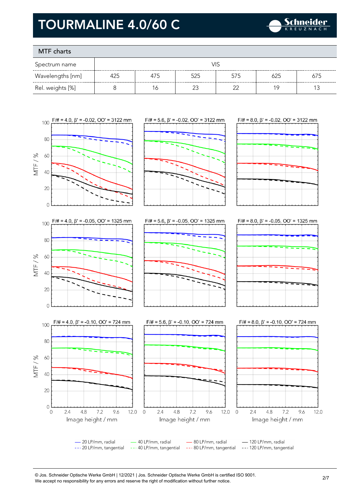

### MTF charts

| Spectrum name    |     |     |     |        |     |     |
|------------------|-----|-----|-----|--------|-----|-----|
| Wavelengths [nm] | 425 | 4/5 | 525 | 575    | 625 | 675 |
| Rel. weights [%] |     |     |     | $\sim$ |     |     |



© Jos. Schneider Optische Werke GmbH | 12/2021 | Jos. Schneider Optische Werke GmbH is certified ISO 9001. We accept no responsibility for any errors and reserve the right of modification without further notice.<br>We accept no responsibility for any errors and reserve the right of modification without further notice.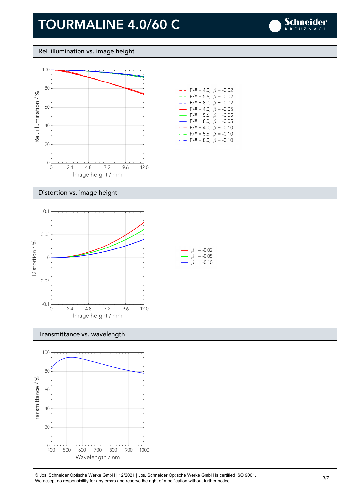

Rel. illumination vs. image height



| - - -                    | $F/\ddot{=} = 4.0, \ \beta = -0.02$     |  |
|--------------------------|-----------------------------------------|--|
| - - -                    | $F/\ddot{\pi} = 5.6$ , $\beta = -0.02$  |  |
| - -                      | $F/\ddot{=} = 8.0, \ \beta = -0.02$     |  |
| $\overline{\phantom{0}}$ | $F/\ddot{=} = 4.0, \ \beta = -0.05$     |  |
| $\overline{\phantom{0}}$ | $F/\ddot{\pi} = 5.6, \ \ \beta = -0.05$ |  |
| $\overline{\phantom{0}}$ | $F/\ddot{\pi} = 8.0, \ \beta = -0.05$   |  |
|                          | $F/\ddot{=} = 4.0, \ \beta = -0.10$     |  |
| mm.                      | $F/\ddot{=} = 5.6, \ \beta = -0.10$     |  |
|                          | $F/\ddot{=} = 8.0, \ \beta = -0.10$     |  |

### Distortion vs. image height



#### Transmittance vs. wavelength



© Jos. Schneider Optische Werke GmbH | 12/2021 | Jos. Schneider Optische Werke GmbH is certified ISO 9001. We accept no responsibility for any errors and reserve the right of modification without further notice.<br>We accept no responsibility for any errors and reserve the right of modification without further notice.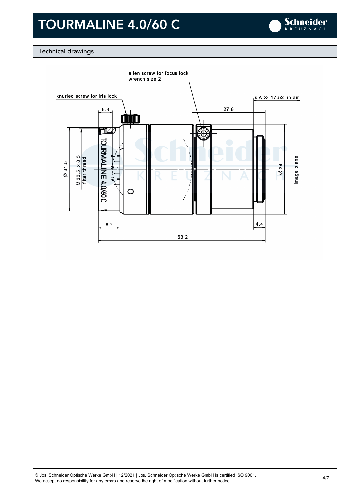

### Technical drawings

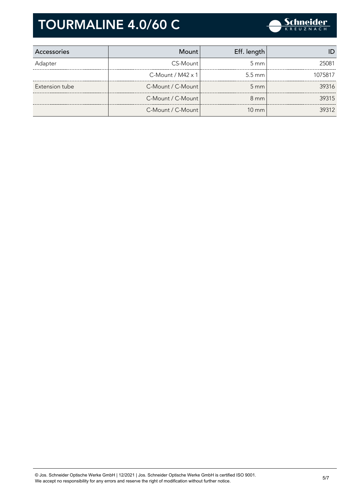

| Accessories    | Mount                       | Eff. length        |         |
|----------------|-----------------------------|--------------------|---------|
| Adapter        | CS-Mount                    | $5 \text{ mm}$     | 25081   |
|                | $C$ -Mount / M42 $\times$ 1 | $5.5 \text{ mm}$   | 1075817 |
| Extension tube | C-Mount / C-Mount           | $5 \, \mathrm{mm}$ | 39316   |
|                | C-Mount / C-Mount           | $8 \text{ mm}$     | 39315   |
|                | C-Mount / C-Mount           | $10 \text{ mm}$    | 39312   |